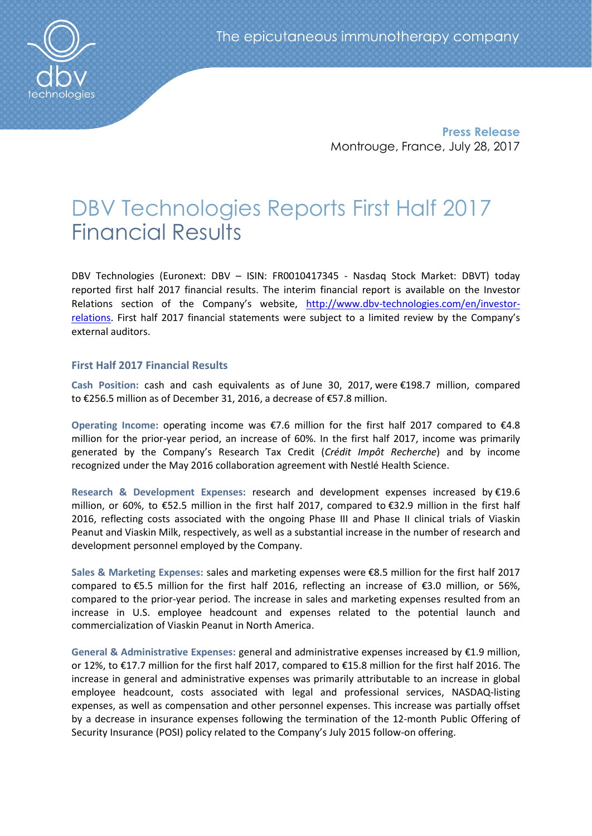

**Press Release** Montrouge, France, July 28, 2017

# DBV Technologies Reports First Half 2017 Financial Results

DBV Technologies (Euronext: DBV – ISIN: FR0010417345 - Nasdaq Stock Market: DBVT) today reported first half 2017 financial results. The interim financial report is available on the Investor Relations section of the Company's website, [http://www.dbv-technologies.com/en/investor](http://www.dbv-technologies.com/en/investor-relations)[relations.](http://www.dbv-technologies.com/en/investor-relations) First half 2017 financial statements were subject to a limited review by the Company's external auditors.

## **First Half 2017 Financial Results**

**Cash Position:** cash and cash equivalents as of June 30, 2017, were €198.7 million, compared to €256.5 million as of December 31, 2016, a decrease of €57.8 million.

**Operating Income:** operating income was €7.6 million for the first half 2017 compared to €4.8 million for the prior-year period, an increase of 60%. In the first half 2017, income was primarily generated by the Company's Research Tax Credit (*Crédit Impôt Recherche*) and by income recognized under the May 2016 collaboration agreement with Nestlé Health Science.

**Research & Development Expenses:** research and development expenses increased by €19.6 million, or 60%, to €52.5 million in the first half 2017, compared to €32.9 million in the first half 2016, reflecting costs associated with the ongoing Phase III and Phase II clinical trials of Viaskin Peanut and Viaskin Milk, respectively, as well as a substantial increase in the number of research and development personnel employed by the Company.

**Sales & Marketing Expenses:** sales and marketing expenses were €8.5 million for the first half 2017 compared to €5.5 million for the first half 2016, reflecting an increase of €3.0 million, or 56%, compared to the prior-year period. The increase in sales and marketing expenses resulted from an increase in U.S. employee headcount and expenses related to the potential launch and commercialization of Viaskin Peanut in North America.

**General & Administrative Expenses:** general and administrative expenses increased by €1.9 million, or 12%, to €17.7 million for the first half 2017, compared to €15.8 million for the first half 2016. The increase in general and administrative expenses was primarily attributable to an increase in global employee headcount, costs associated with legal and professional services, NASDAQ-listing expenses, as well as compensation and other personnel expenses. This increase was partially offset by a decrease in insurance expenses following the termination of the 12-month Public Offering of Security Insurance (POSI) policy related to the Company's July 2015 follow-on offering.